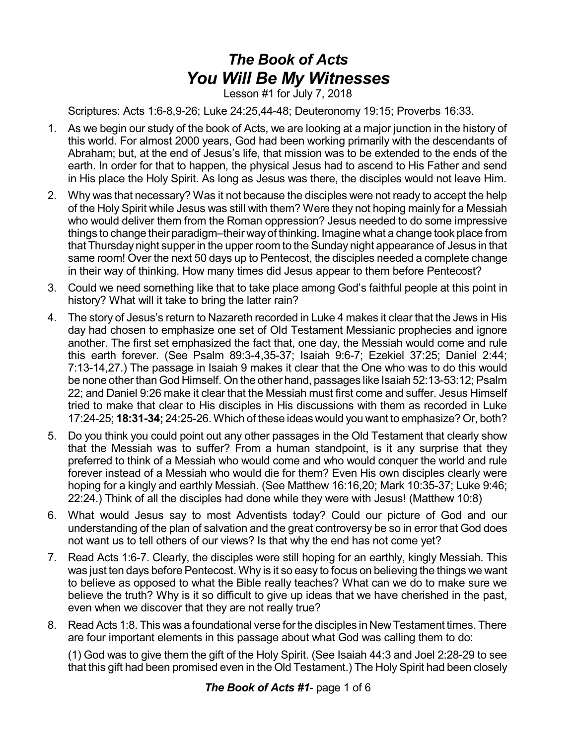## *The Book of Acts You Will Be My Witnesses*

Lesson #1 for July 7, 2018

Scriptures: Acts 1:6-8,9-26; Luke 24:25,44-48; Deuteronomy 19:15; Proverbs 16:33.

- 1. As we begin our study of the book of Acts, we are looking at a major junction in the history of this world. For almost 2000 years, God had been working primarily with the descendants of Abraham; but, at the end of Jesus's life, that mission was to be extended to the ends of the earth. In order for that to happen, the physical Jesus had to ascend to His Father and send in His place the Holy Spirit. As long as Jesus was there, the disciples would not leave Him.
- 2. Why was that necessary? Was it not because the disciples were not ready to accept the help of the Holy Spirit while Jesus was still with them? Were they not hoping mainly for a Messiah who would deliver them from the Roman oppression? Jesus needed to do some impressive things to change their paradigm–their wayof thinking. Imagine what a change took place from that Thursday night supper in the upper room to the Sunday night appearance of Jesus in that same room! Over the next 50 days up to Pentecost, the disciples needed a complete change in their way of thinking. How many times did Jesus appear to them before Pentecost?
- 3. Could we need something like that to take place among God's faithful people at this point in history? What will it take to bring the latter rain?
- 4. The story of Jesus's return to Nazareth recorded in Luke 4 makes it clear that the Jews in His day had chosen to emphasize one set of Old Testament Messianic prophecies and ignore another. The first set emphasized the fact that, one day, the Messiah would come and rule this earth forever. (See Psalm 89:3-4,35-37; Isaiah 9:6-7; Ezekiel 37:25; Daniel 2:44; 7:13-14,27.) The passage in Isaiah 9 makes it clear that the One who was to do this would be none other than God Himself. On the other hand, passages like Isaiah 52:13-53:12; Psalm 22; and Daniel 9:26 make it clear that the Messiah must first come and suffer. Jesus Himself tried to make that clear to His disciples in His discussions with them as recorded in Luke 17:24-25; **18:31-34;** 24:25-26. Which of these ideas would you want to emphasize? Or, both?
- 5. Do you think you could point out any other passages in the Old Testament that clearly show that the Messiah was to suffer? From a human standpoint, is it any surprise that they preferred to think of a Messiah who would come and who would conquer the world and rule forever instead of a Messiah who would die for them? Even His own disciples clearly were hoping for a kingly and earthly Messiah. (See Matthew 16:16,20; Mark 10:35-37; Luke 9:46; 22:24.) Think of all the disciples had done while they were with Jesus! (Matthew 10:8)
- 6. What would Jesus say to most Adventists today? Could our picture of God and our understanding of the plan of salvation and the great controversy be so in error that God does not want us to tell others of our views? Is that why the end has not come yet?
- 7. Read Acts 1:6-7. Clearly, the disciples were still hoping for an earthly, kingly Messiah. This was just ten days before Pentecost. Why is it so easy to focus on believing the things we want to believe as opposed to what the Bible really teaches? What can we do to make sure we believe the truth? Why is it so difficult to give up ideas that we have cherished in the past, even when we discover that they are not really true?
- 8. Read Acts 1:8. This was a foundational verse for the disciples in New Testament times. There are four important elements in this passage about what God was calling them to do:

(1) God was to give them the gift of the Holy Spirit. (See Isaiah 44:3 and Joel 2:28-29 to see that this gift had been promised even in the Old Testament.) The Holy Spirit had been closely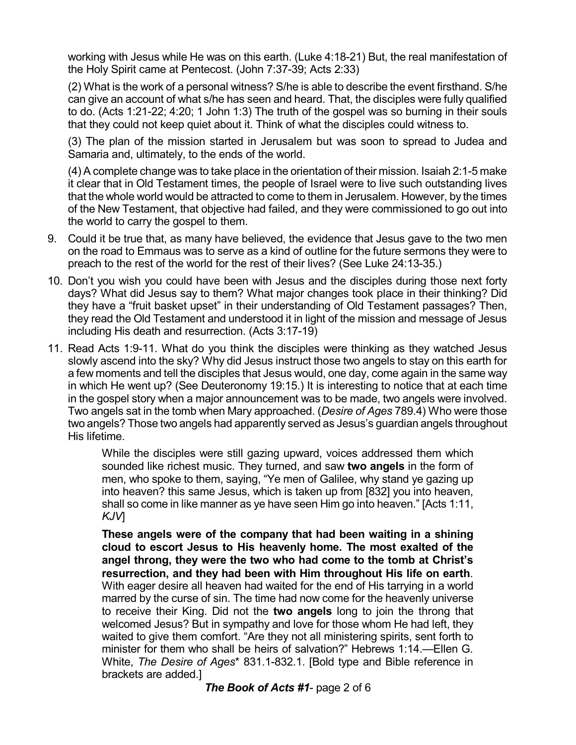working with Jesus while He was on this earth. (Luke 4:18-21) But, the real manifestation of the Holy Spirit came at Pentecost. (John 7:37-39; Acts 2:33)

(2) What is the work of a personal witness? S/he is able to describe the event firsthand. S/he can give an account of what s/he has seen and heard. That, the disciples were fully qualified to do. (Acts 1:21-22; 4:20; 1 John 1:3) The truth of the gospel was so burning in their souls that they could not keep quiet about it. Think of what the disciples could witness to.

(3) The plan of the mission started in Jerusalem but was soon to spread to Judea and Samaria and, ultimately, to the ends of the world.

(4) A complete change was to take place in the orientation of their mission. Isaiah 2:1-5 make it clear that in Old Testament times, the people of Israel were to live such outstanding lives that the whole world would be attracted to come to them in Jerusalem. However, by the times of the New Testament, that objective had failed, and they were commissioned to go out into the world to carry the gospel to them.

- 9. Could it be true that, as many have believed, the evidence that Jesus gave to the two men on the road to Emmaus was to serve as a kind of outline for the future sermons they were to preach to the rest of the world for the rest of their lives? (See Luke 24:13-35.)
- 10. Don't you wish you could have been with Jesus and the disciples during those next forty days? What did Jesus say to them? What major changes took place in their thinking? Did they have a "fruit basket upset" in their understanding of Old Testament passages? Then, they read the Old Testament and understood it in light of the mission and message of Jesus including His death and resurrection. (Acts 3:17-19)
- 11. Read Acts 1:9-11. What do you think the disciples were thinking as they watched Jesus slowly ascend into the sky? Why did Jesus instruct those two angels to stay on this earth for a few moments and tell the disciples that Jesus would, one day, come again in the same way in which He went up? (See Deuteronomy 19:15.) It is interesting to notice that at each time in the gospel story when a major announcement was to be made, two angels were involved. Two angels sat in the tomb when Mary approached. (*Desire of Ages* 789.4) Who were those two angels? Those two angels had apparently served as Jesus's guardian angels throughout His lifetime.

While the disciples were still gazing upward, voices addressed them which sounded like richest music. They turned, and saw **two angels** in the form of men, who spoke to them, saying, "Ye men of Galilee, why stand ye gazing up into heaven? this same Jesus, which is taken up from [832] you into heaven, shall so come in like manner as ye have seen Him go into heaven." [Acts 1:11, *KJV*]

**These angels were of the company that had been waiting in a shining cloud to escort Jesus to His heavenly home. The most exalted of the angel throng, they were the two who had come to the tomb at Christ's resurrection, and they had been with Him throughout His life on earth**. With eager desire all heaven had waited for the end of His tarrying in a world marred by the curse of sin. The time had now come for the heavenly universe to receive their King. Did not the **two angels** long to join the throng that welcomed Jesus? But in sympathy and love for those whom He had left, they waited to give them comfort. "Are they not all ministering spirits, sent forth to minister for them who shall be heirs of salvation?" Hebrews 1:14.—Ellen G. White, *The Desire of Ages*\* 831.1-832.1. [Bold type and Bible reference in brackets are added.]

*The Book of Acts #1*- page 2 of 6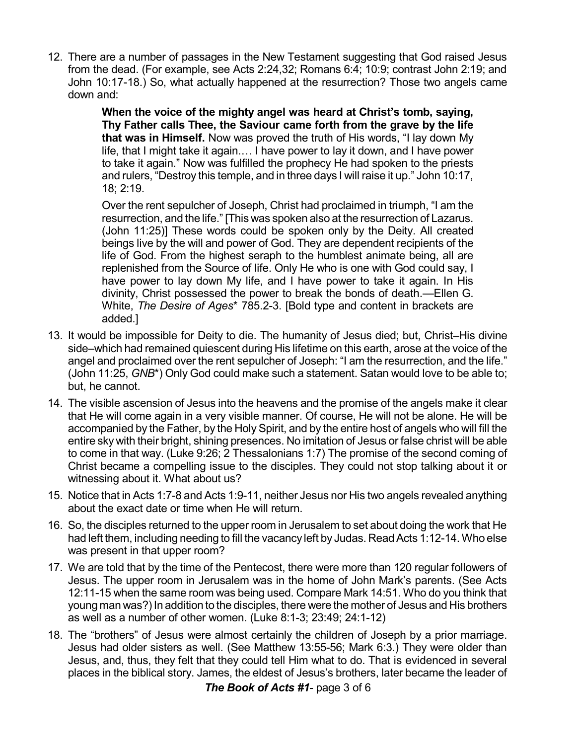12. There are a number of passages in the New Testament suggesting that God raised Jesus from the dead. (For example, see Acts 2:24,32; Romans 6:4; 10:9; contrast John 2:19; and John 10:17-18.) So, what actually happened at the resurrection? Those two angels came down and:

> **When the voice of the mighty angel was heard at Christ's tomb, saying, Thy Father calls Thee, the Saviour came forth from the grave by the life that was in Himself.** Now was proved the truth of His words, "I lay down My life, that I might take it again.… I have power to lay it down, and I have power to take it again." Now was fulfilled the prophecy He had spoken to the priests and rulers, "Destroy this temple, and in three days I will raise it up." John 10:17, 18; 2:19.

> Over the rent sepulcher of Joseph, Christ had proclaimed in triumph, "I am the resurrection, and the life." [This was spoken also at the resurrection of Lazarus. (John 11:25)] These words could be spoken only by the Deity. All created beings live by the will and power of God. They are dependent recipients of the life of God. From the highest seraph to the humblest animate being, all are replenished from the Source of life. Only He who is one with God could say, I have power to lay down My life, and I have power to take it again. In His divinity, Christ possessed the power to break the bonds of death.—Ellen G. White, *The Desire of Ages*\* 785.2-3. [Bold type and content in brackets are added.]

- 13. It would be impossible for Deity to die. The humanity of Jesus died; but, Christ–His divine side–which had remained quiescent during His lifetime on this earth, arose at the voice of the angel and proclaimed over the rent sepulcher of Joseph: "I am the resurrection, and the life." (John 11:25, *GNB*\*) Only God could make such a statement. Satan would love to be able to; but, he cannot.
- 14. The visible ascension of Jesus into the heavens and the promise of the angels make it clear that He will come again in a very visible manner. Of course, He will not be alone. He will be accompanied by the Father, by the Holy Spirit, and by the entire host of angels who will fill the entire sky with their bright, shining presences. No imitation of Jesus or false christ will be able to come in that way. (Luke 9:26; 2 Thessalonians 1:7) The promise of the second coming of Christ became a compelling issue to the disciples. They could not stop talking about it or witnessing about it. What about us?
- 15. Notice that in Acts 1:7-8 and Acts 1:9-11, neither Jesus nor His two angels revealed anything about the exact date or time when He will return.
- 16. So, the disciples returned to the upper room in Jerusalem to set about doing the work that He had left them, including needing to fill the vacancy left by Judas. Read Acts 1:12-14. Who else was present in that upper room?
- 17. We are told that by the time of the Pentecost, there were more than 120 regular followers of Jesus. The upper room in Jerusalem was in the home of John Mark's parents. (See Acts 12:11-15 when the same room was being used. Compare Mark 14:51. Who do you think that young man was?) In addition to the disciples, there were the mother of Jesus and His brothers as well as a number of other women. (Luke 8:1-3; 23:49; 24:1-12)
- 18. The "brothers" of Jesus were almost certainly the children of Joseph by a prior marriage. Jesus had older sisters as well. (See Matthew 13:55-56; Mark 6:3.) They were older than Jesus, and, thus, they felt that they could tell Him what to do. That is evidenced in several places in the biblical story. James, the eldest of Jesus's brothers, later became the leader of

*The Book of Acts #1*- page 3 of 6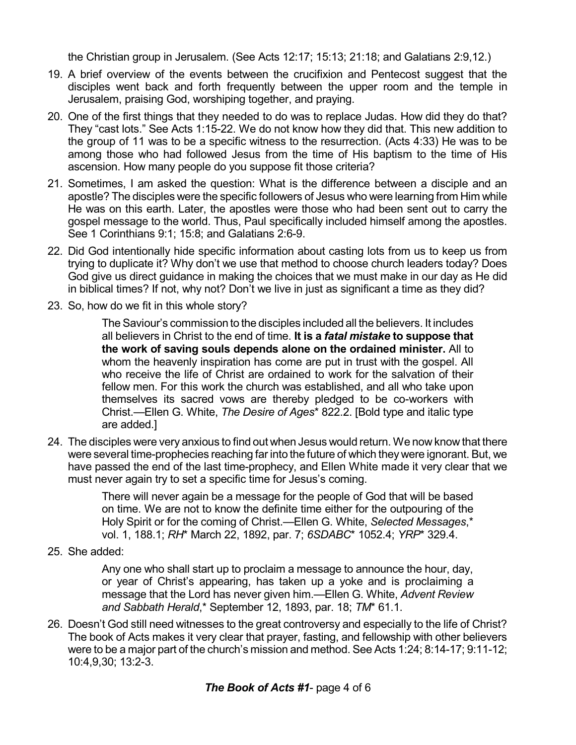the Christian group in Jerusalem. (See Acts 12:17; 15:13; 21:18; and Galatians 2:9,12.)

- 19. A brief overview of the events between the crucifixion and Pentecost suggest that the disciples went back and forth frequently between the upper room and the temple in Jerusalem, praising God, worshiping together, and praying.
- 20. One of the first things that they needed to do was to replace Judas. How did they do that? They "cast lots." See Acts 1:15-22. We do not know how they did that. This new addition to the group of 11 was to be a specific witness to the resurrection. (Acts 4:33) He was to be among those who had followed Jesus from the time of His baptism to the time of His ascension. How many people do you suppose fit those criteria?
- 21. Sometimes, I am asked the question: What is the difference between a disciple and an apostle? The disciples were the specific followers of Jesus who were learning from Him while He was on this earth. Later, the apostles were those who had been sent out to carry the gospel message to the world. Thus, Paul specifically included himself among the apostles. See 1 Corinthians 9:1; 15:8; and Galatians 2:6-9.
- 22. Did God intentionally hide specific information about casting lots from us to keep us from trying to duplicate it? Why don't we use that method to choose church leaders today? Does God give us direct guidance in making the choices that we must make in our day as He did in biblical times? If not, why not? Don't we live in just as significant a time as they did?
- 23. So, how do we fit in this whole story?

The Saviour's commission to the disciples included all the believers. It includes all believers in Christ to the end of time. **It is a** *fatal mistake* **to suppose that the work of saving souls depends alone on the ordained minister.** All to whom the heavenly inspiration has come are put in trust with the gospel. All who receive the life of Christ are ordained to work for the salvation of their fellow men. For this work the church was established, and all who take upon themselves its sacred vows are thereby pledged to be co-workers with Christ.—Ellen G. White, *The Desire of Ages*\* 822.2. [Bold type and italic type are added.]

24. The disciples were very anxious to find out when Jesus would return. We now know that there were several time-prophecies reaching far into the future of which they were ignorant. But, we have passed the end of the last time-prophecy, and Ellen White made it very clear that we must never again try to set a specific time for Jesus's coming.

> There will never again be a message for the people of God that will be based on time. We are not to know the definite time either for the outpouring of the Holy Spirit or for the coming of Christ.—Ellen G. White, *Selected Messages*,\* vol. 1, 188.1; *RH*\* March 22, 1892, par. 7; *6SDABC*\* 1052.4; *YRP*\* 329.4.

25. She added:

Any one who shall start up to proclaim a message to announce the hour, day, or year of Christ's appearing, has taken up a yoke and is proclaiming a message that the Lord has never given him.—Ellen G. White, *Advent Review and Sabbath Herald*,\* September 12, 1893, par. 18; *TM*\* 61.1.

26. Doesn't God still need witnesses to the great controversy and especially to the life of Christ? The book of Acts makes it very clear that prayer, fasting, and fellowship with other believers were to be a major part of the church's mission and method. See Acts 1:24; 8:14-17; 9:11-12; 10:4,9,30; 13:2-3.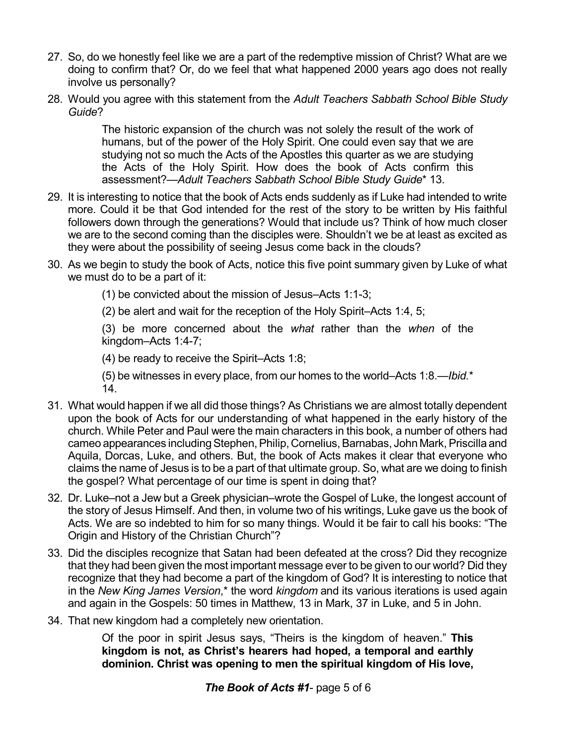- 27. So, do we honestly feel like we are a part of the redemptive mission of Christ? What are we doing to confirm that? Or, do we feel that what happened 2000 years ago does not really involve us personally?
- 28. Would you agree with this statement from the *Adult Teachers Sabbath School Bible Study Guide*?

The historic expansion of the church was not solely the result of the work of humans, but of the power of the Holy Spirit. One could even say that we are studying not so much the Acts of the Apostles this quarter as we are studying the Acts of the Holy Spirit. How does the book of Acts confirm this assessment?—*Adult Teachers Sabbath School Bible Study Guide*\* 13.

- 29. It is interesting to notice that the book of Acts ends suddenly as if Luke had intended to write more. Could it be that God intended for the rest of the story to be written by His faithful followers down through the generations? Would that include us? Think of how much closer we are to the second coming than the disciples were. Shouldn't we be at least as excited as they were about the possibility of seeing Jesus come back in the clouds?
- 30. As we begin to study the book of Acts, notice this five point summary given by Luke of what we must do to be a part of it:

(1) be convicted about the mission of Jesus–Acts 1:1-3;

(2) be alert and wait for the reception of the Holy Spirit–Acts 1:4, 5;

(3) be more concerned about the *what* rather than the *when* of the kingdom–Acts 1:4-7;

(4) be ready to receive the Spirit–Acts 1:8;

(5) be witnesses in every place, from our homes to the world–Acts 1:8.—*Ibid.*\* 14.

- 31. What would happen if we all did those things? As Christians we are almost totally dependent upon the book of Acts for our understanding of what happened in the early history of the church. While Peter and Paul were the main characters in this book, a number of others had cameo appearances including Stephen, Philip, Cornelius, Barnabas, John Mark, Priscilla and Aquila, Dorcas, Luke, and others. But, the book of Acts makes it clear that everyone who claims the name of Jesus is to be a part of that ultimate group. So, what are we doing to finish the gospel? What percentage of our time is spent in doing that?
- 32. Dr. Luke–not a Jew but a Greek physician–wrote the Gospel of Luke, the longest account of the story of Jesus Himself. And then, in volume two of his writings, Luke gave us the book of Acts. We are so indebted to him for so many things. Would it be fair to call his books: "The Origin and History of the Christian Church"?
- 33. Did the disciples recognize that Satan had been defeated at the cross? Did they recognize that they had been given the most important message ever to be given to our world? Did they recognize that they had become a part of the kingdom of God? It is interesting to notice that in the *New King James Version*,\* the word *kingdom* and its various iterations is used again and again in the Gospels: 50 times in Matthew, 13 in Mark, 37 in Luke, and 5 in John.
- 34. That new kingdom had a completely new orientation.

Of the poor in spirit Jesus says, "Theirs is the kingdom of heaven." **This kingdom is not, as Christ's hearers had hoped, a temporal and earthly dominion. Christ was opening to men the spiritual kingdom of His love,**

*The Book of Acts #1*- page 5 of 6